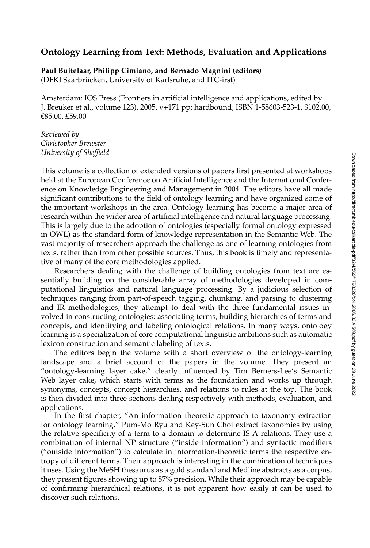## Downloaded from http://direct.mit.edu/coli/article-pdf/32/4/569/1798326/coli.2006.32.4.569.pdf by guest on 29 June 2022 Downloaded from http://direct.mit.edu/coli/article-pdf/32/4/569/1798326/coli.2006.32.4.569.pdf by guest on 29 June 2022

## **Ontology Learning from Text: Methods, Evaluation and Applications**

**Paul Buitelaar, Philipp Cimiano, and Bernado Magnini (editors)** (DFKI Saarbrücken, University of Karlsruhe, and ITC-irst)

Amsterdam: IOS Press (Frontiers in artificial intelligence and applications, edited by J. Breuker et al., volume 123), 2005, v+171 pp; hardbound, ISBN 1-58603-523-1, \$102.00, €85.00, £59.00

*Reviewed by Christopher Brewster University of Sheffield*

This volume is a collection of extended versions of papers first presented at workshops held at the European Conference on Artificial Intelligence and the International Conference on Knowledge Engineering and Management in 2004. The editors have all made significant contributions to the field of ontology learning and have organized some of the important workshops in the area. Ontology learning has become a major area of research within the wider area of artificial intelligence and natural language processing. This is largely due to the adoption of ontologies (especially formal ontology expressed in OWL) as the standard form of knowledge representation in the Semantic Web. The vast majority of researchers approach the challenge as one of learning ontologies from texts, rather than from other possible sources. Thus, this book is timely and representative of many of the core methodologies applied.

Researchers dealing with the challenge of building ontologies from text are essentially building on the considerable array of methodologies developed in computational linguistics and natural language processing. By a judicious selection of techniques ranging from part-of-speech tagging, chunking, and parsing to clustering and IR methodologies, they attempt to deal with the three fundamental issues involved in constructing ontologies: associating terms, building hierarchies of terms and concepts, and identifying and labeling ontological relations. In many ways, ontology learning is a specialization of core computational linguistic ambitions such as automatic lexicon construction and semantic labeling of texts.

The editors begin the volume with a short overview of the ontology-learning landscape and a brief account of the papers in the volume. They present an "ontology-learning layer cake," clearly influenced by Tim Berners-Lee's Semantic Web layer cake, which starts with terms as the foundation and works up through synonyms, concepts, concept hierarchies, and relations to rules at the top. The book is then divided into three sections dealing respectively with methods, evaluation, and applications.

In the first chapter, "An information theoretic approach to taxonomy extraction for ontology learning," Pum-Mo Ryu and Key-Sun Choi extract taxonomies by using the relative specificity of a term to a domain to determine IS-A relations. They use a combination of internal NP structure ("inside information") and syntactic modifiers ("outside information") to calculate in information-theoretic terms the respective entropy of different terms. Their approach is interesting in the combination of techniques it uses. Using the MeSH thesaurus as a gold standard and Medline abstracts as a corpus, they present figures showing up to 87% precision. While their approach may be capable of confirming hierarchical relations, it is not apparent how easily it can be used to discover such relations.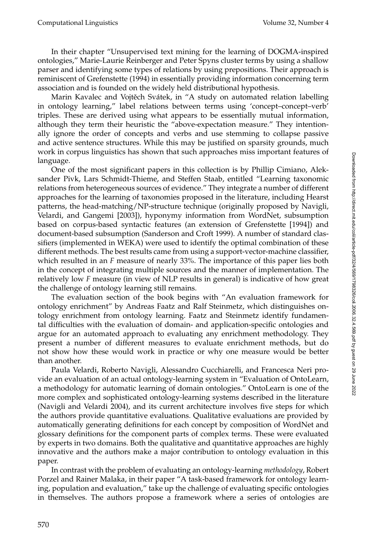In their chapter "Unsupervised text mining for the learning of DOGMA-inspired ontologies," Marie-Laurie Reinberger and Peter Spyns cluster terms by using a shallow parser and identifying some types of relations by using prepositions. Their approach is reminiscent of Grefenstette (1994) in essentially providing information concerning term association and is founded on the widely held distributional hypothesis.

Marin Kavalec and Vojtěch Svátek, in "A study on automated relation labelling in ontology learning," label relations between terms using 'concept–concept–verb' triples. These are derived using what appears to be essentially mutual information, although they term their heuristic the "above-expectation measure." They intentionally ignore the order of concepts and verbs and use stemming to collapse passive and active sentence structures. While this may be justified on sparsity grounds, much work in corpus linguistics has shown that such approaches miss important features of language.

One of the most significant papers in this collection is by Phillip Cimiano, Aleksander Pivk, Lars Schmidt-Thieme, and Steffen Staab, entitled "Learning taxonomic relations from heterogeneous sources of evidence." They integrate a number of different approaches for the learning of taxonomies proposed in the literature, including Hearst patterns, the head-matching/NP-structure technique (originally proposed by Navigli, Velardi, and Gangemi [2003]), hyponymy information from WordNet, subsumption based on corpus-based syntactic features (an extension of Grefenstette [1994]) and document-based subsumption (Sanderson and Croft 1999). A number of standard classifiers (implemented in WEKA) were used to identify the optimal combination of these different methods. The best results came from using a support-vector-machine classifier, which resulted in an *F* measure of nearly 33%. The importance of this paper lies both in the concept of integrating multiple sources and the manner of implementation. The relatively low *F* measure (in view of NLP results in general) is indicative of how great the challenge of ontology learning still remains.

The evaluation section of the book begins with "An evaluation framework for ontology enrichment" by Andreas Faatz and Ralf Steinmetz, which distinguishes ontology enrichment from ontology learning. Faatz and Steinmetz identify fundamental difficulties with the evaluation of domain- and application-specific ontologies and argue for an automated approach to evaluating any enrichment methodology. They present a number of different measures to evaluate enrichment methods, but do not show how these would work in practice or why one measure would be better than another.

Paula Velardi, Roberto Navigli, Alessandro Cucchiarelli, and Francesca Neri provide an evaluation of an actual ontology-learning system in "Evaluation of OntoLearn, a methodology for automatic learning of domain ontologies." OntoLearn is one of the more complex and sophisticated ontology-learning systems described in the literature (Navigli and Velardi 2004), and its current architecture involves five steps for which the authors provide quantitative evaluations. Qualitative evaluations are provided by automatically generating definitions for each concept by composition of WordNet and glossary definitions for the component parts of complex terms. These were evaluated by experts in two domains. Both the qualitative and quantitative approaches are highly innovative and the authors make a major contribution to ontology evaluation in this paper.

In contrast with the problem of evaluating an ontology-learning *methodology*, Robert Porzel and Rainer Malaka, in their paper "Atask-based framework for ontology learning, population and evaluation," take up the challenge of evaluating specific ontologies in themselves. The authors propose a framework where a series of ontologies are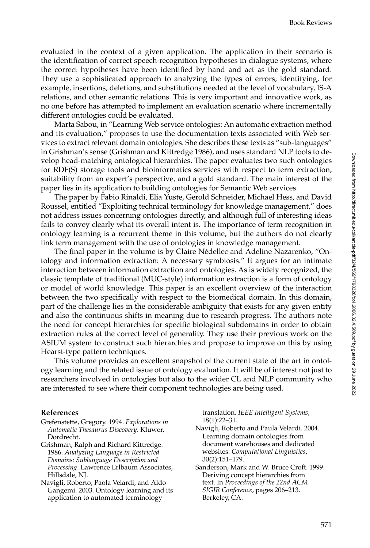evaluated in the context of a given application. The application in their scenario is the identification of correct speech-recognition hypotheses in dialogue systems, where the correct hypotheses have been identified by hand and act as the gold standard. They use a sophisticated approach to analyzing the types of errors, identifying, for example, insertions, deletions, and substitutions needed at the level of vocabulary, IS-A relations, and other semantic relations. This is very important and innovative work, as no one before has attempted to implement an evaluation scenario where incrementally different ontologies could be evaluated.

Marta Sabou, in "Learning Web service ontologies: An automatic extraction method and its evaluation," proposes to use the documentation texts associated with Web services to extract relevant domain ontologies. She describes these texts as "sub-languages" in Grishman's sense (Grishman and Kittredge 1986), and uses standard NLP tools to develop head-matching ontological hierarchies. The paper evaluates two such ontologies for RDF(S) storage tools and bioinformatics services with respect to term extraction, suitability from an expert's perspective, and a gold standard. The main interest of the paper lies in its application to building ontologies for Semantic Web services.

The paper by Fabio Rinaldi, Elia Yuste, Gerold Schneider, Michael Hess, and David Roussel, entitled "Exploiting technical terminology for knowledge management," does not address issues concerning ontologies directly, and although full of interesting ideas fails to convey clearly what its overall intent is. The importance of term recognition in ontology learning is a recurrent theme in this volume, but the authors do not clearly link term management with the use of ontologies in knowledge management.

The final paper in the volume is by Claire Nédellec and Adeline Nazarenko, "Ontology and information extraction: Anecessary symbiosis." It argues for an intimate interaction between information extraction and ontologies. As is widely recognized, the classic template of traditional (MUC-style) information extraction is a form of ontology or model of world knowledge. This paper is an excellent overview of the interaction between the two specifically with respect to the biomedical domain. In this domain, part of the challenge lies in the considerable ambiguity that exists for any given entity and also the continuous shifts in meaning due to research progress. The authors note the need for concept hierarchies for specific biological subdomains in order to obtain extraction rules at the correct level of generality. They use their previous work on the ASIUM system to construct such hierarchies and propose to improve on this by using Hearst-type pattern techniques.

This volume provides an excellent snapshot of the current state of the art in ontology learning and the related issue of ontology evaluation. It will be of interest not just to researchers involved in ontologies but also to the wider CL and NLP community who are interested to see where their component technologies are being used.

## **References**

- Grefenstette, Gregory. 1994. *Explorations in Automatic Thesaurus Discovery*. Kluwer, Dordrecht.
- Grishman, Ralph and Richard Kittredge. 1986. *Analyzing Language in Restricted Domains: Sublanguage Description and Processing*. Lawrence Erlbaum Associates, Hillsdale, NJ.
- Navigli, Roberto, Paola Velardi, and Aldo Gangemi. 2003. Ontology learning and its application to automated terminology

translation. *IEEE Intelligent Systems*, 18(1):22–31.

- Navigli, Roberto and Paula Velardi. 2004. Learning domain ontologies from document warehouses and dedicated websites. *Computational Linguistics*, 30(2):151–179.
- Sanderson, Mark and W. Bruce Croft. 1999. Deriving concept hierarchies from text. In *Proceedings of the 22nd ACM SIGIR Conference*, pages 206–213. Berkeley, CA.